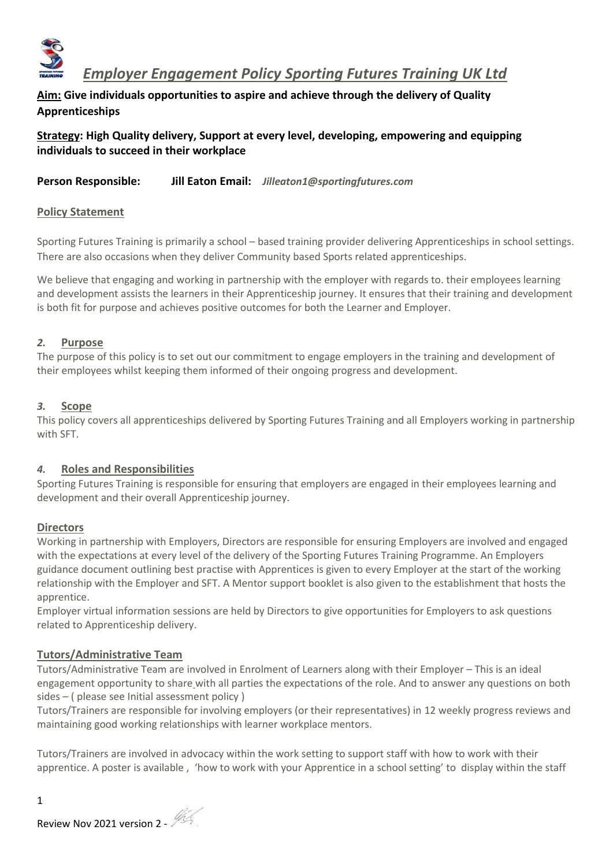

 *Employer Engagement Policy Sporting Futures Training UK Ltd*

**Aim: Give individuals opportunities to aspire and achieve through the delivery of Quality Apprenticeships**

**Strategy: High Quality delivery, Support at every level, developing, empowering and equipping individuals to succeed in their workplace** 

**Person Responsible: Jill Eaton Email:** *Jilleaton1@sportingfutures.com* 

## **Policy Statement**

Sporting Futures Training is primarily a school – based training provider delivering Apprenticeships in school settings. There are also occasions when they deliver Community based Sports related apprenticeships.

We believe that engaging and working in partnership with the employer with regards to. their employees learning and development assists the learners in their Apprenticeship journey. It ensures that their training and development is both fit for purpose and achieves positive outcomes for both the Learner and Employer.

## *2.* **Purpose**

The purpose of this policy is to set out our commitment to engage employers in the training and development of their employees whilst keeping them informed of their ongoing progress and development.

#### *3.* **Scope**

This policy covers all apprenticeships delivered by Sporting Futures Training and all Employers working in partnership with SFT.

## *4.* **Roles and Responsibilities**

Sporting Futures Training is responsible for ensuring that employers are engaged in their employees learning and development and their overall Apprenticeship journey.

## **Directors**

Working in partnership with Employers, Directors are responsible for ensuring Employers are involved and engaged with the expectations at every level of the delivery of the Sporting Futures Training Programme. An Employers guidance document outlining best practise with Apprentices is given to every Employer at the start of the working relationship with the Employer and SFT. A Mentor support booklet is also given to the establishment that hosts the apprentice.

Employer virtual information sessions are held by Directors to give opportunities for Employers to ask questions related to Apprenticeship delivery.

## **Tutors/Administrative Team**

Tutors/Administrative Team are involved in Enrolment of Learners along with their Employer – This is an ideal engagement opportunity to share with all parties the expectations of the role. And to answer any questions on both sides – ( please see Initial assessment policy )

Tutors/Trainers are responsible for involving employers (or their representatives) in 12 weekly progress reviews and maintaining good working relationships with learner workplace mentors.

Tutors/Trainers are involved in advocacy within the work setting to support staff with how to work with their apprentice. A poster is available , 'how to work with your Apprentice in a school setting' to display within the staff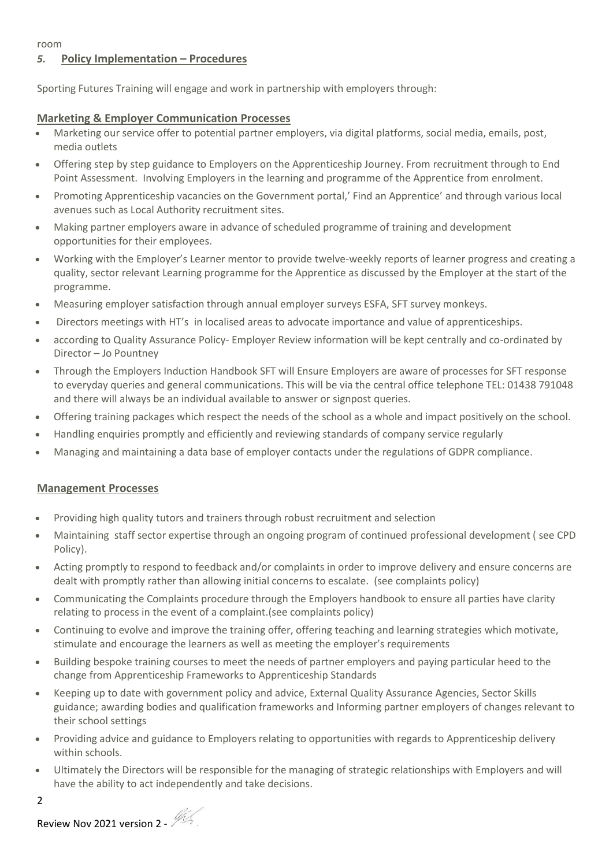# *5.* **Policy Implementation – Procedures**

Sporting Futures Training will engage and work in partnership with employers through:

### **Marketing & Employer Communication Processes**

- Marketing our service offer to potential partner employers, via digital platforms, social media, emails, post, media outlets
- Offering step by step guidance to Employers on the Apprenticeship Journey. From recruitment through to End Point Assessment. Involving Employers in the learning and programme of the Apprentice from enrolment.
- Promoting Apprenticeship vacancies on the Government portal,' Find an Apprentice' and through various local avenues such as Local Authority recruitment sites.
- Making partner employers aware in advance of scheduled programme of training and development opportunities for their employees.
- Working with the Employer's Learner mentor to provide twelve-weekly reports of learner progress and creating a quality, sector relevant Learning programme for the Apprentice as discussed by the Employer at the start of the programme.
- Measuring employer satisfaction through annual employer surveys ESFA, SFT survey monkeys.
- Directors meetings with HT's in localised areas to advocate importance and value of apprenticeships.
- according to Quality Assurance Policy- Employer Review information will be kept centrally and co-ordinated by Director – Jo Pountney
- Through the Employers Induction Handbook SFT will Ensure Employers are aware of processes for SFT response to everyday queries and general communications. This will be via the central office telephone TEL: 01438 791048 and there will always be an individual available to answer or signpost queries.
- Offering training packages which respect the needs of the school as a whole and impact positively on the school.
- Handling enquiries promptly and efficiently and reviewing standards of company service regularly
- Managing and maintaining a data base of employer contacts under the regulations of GDPR compliance.

## **Management Processes**

- Providing high quality tutors and trainers through robust recruitment and selection
- Maintaining staff sector expertise through an ongoing program of continued professional development ( see CPD Policy).
- Acting promptly to respond to feedback and/or complaints in order to improve delivery and ensure concerns are dealt with promptly rather than allowing initial concerns to escalate. (see complaints policy)
- Communicating the Complaints procedure through the Employers handbook to ensure all parties have clarity relating to process in the event of a complaint.(see complaints policy)
- Continuing to evolve and improve the training offer, offering teaching and learning strategies which motivate, stimulate and encourage the learners as well as meeting the employer's requirements
- Building bespoke training courses to meet the needs of partner employers and paying particular heed to the change from Apprenticeship Frameworks to Apprenticeship Standards
- Keeping up to date with government policy and advice, External Quality Assurance Agencies, Sector Skills guidance; awarding bodies and qualification frameworks and Informing partner employers of changes relevant to their school settings
- Providing advice and guidance to Employers relating to opportunities with regards to Apprenticeship delivery within schools.
- Ultimately the Directors will be responsible for the managing of strategic relationships with Employers and will have the ability to act independently and take decisions.

2

Review Nov 2021 version 2 -  $\frac{m}{2}$